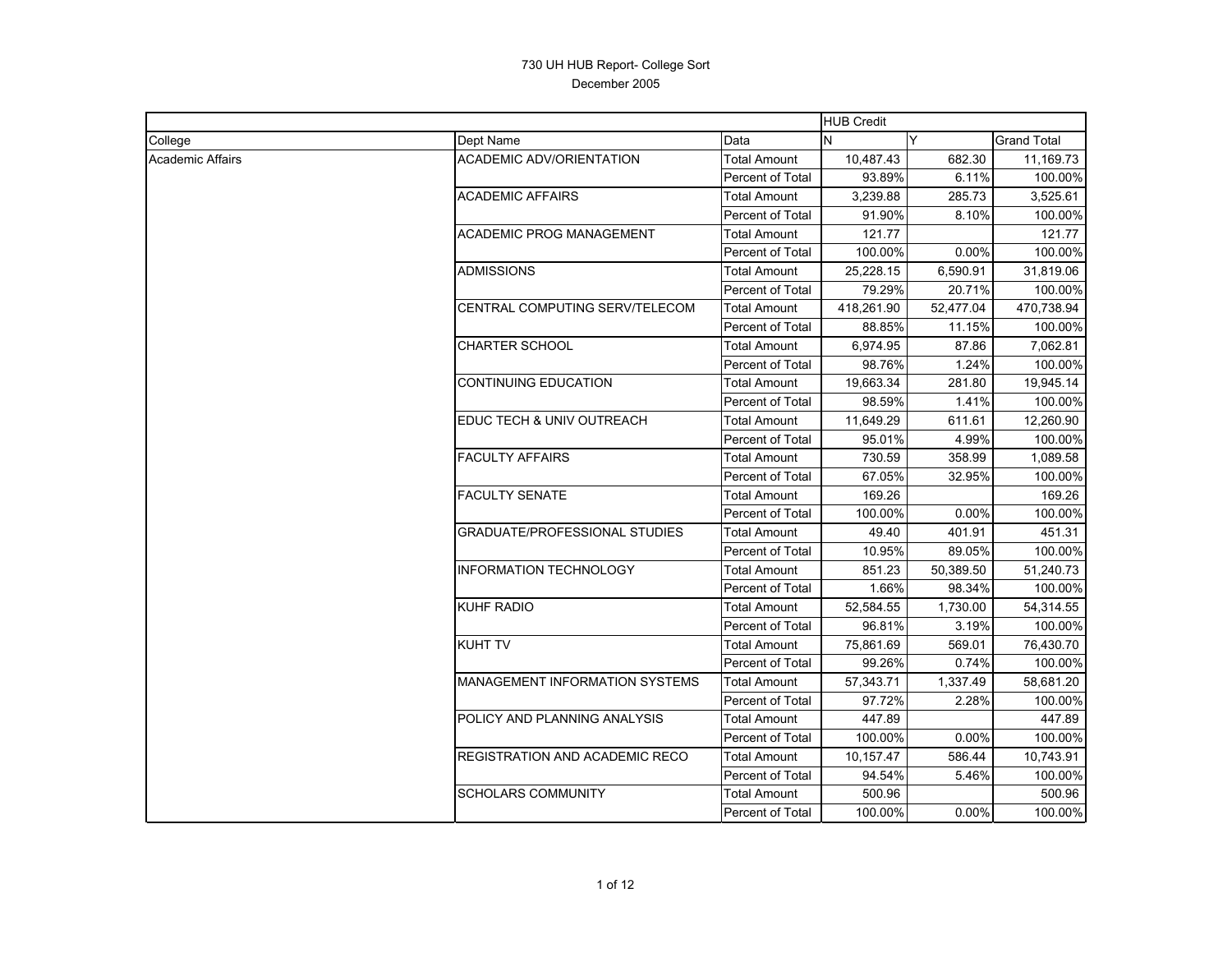|                  |                                 |                         | <b>HUB Credit</b> |           |             |
|------------------|---------------------------------|-------------------------|-------------------|-----------|-------------|
| College          | Dept Name                       | Data                    | IN.               | Y         | Grand Total |
| Academic Affairs | <b>ACADEMIC ADV/ORIENTATION</b> | <b>Total Amount</b>     | 10,487.43         | 682.30    | 11,169.73   |
|                  |                                 | Percent of Total        | 93.89%            | 6.11%     | 100.00%     |
|                  | ACADEMIC AFFAIRS                | Total Amount            | 3,239.88          | 285.73    | 3,525.61    |
|                  |                                 | Percent of Total        | 91.90%            | 8.10%     | 100.00%     |
|                  | <b>ACADEMIC PROG MANAGEMENT</b> | <b>Total Amount</b>     | 121.77            |           | 121.77      |
|                  |                                 | Percent of Total        | 100.00%           | 0.00%     | 100.00%     |
|                  | ADMISSIONS                      | <b>Total Amount</b>     | 25,228.15         | 6,590.91  | 31,819.06   |
|                  |                                 | Percent of Total        | 79.29%            | 20.71%    | 100.00%     |
|                  | CENTRAL COMPUTING SERV/TELECOM  | <b>Total Amount</b>     | 418,261.90        | 52,477.04 | 470,738.94  |
|                  |                                 | <b>Percent of Total</b> | 88.85%            | 11.15%    | 100.00%     |
|                  | CHARTER SCHOOL                  | Total Amount            | 6,974.95          | 87.86     | 7,062.81    |
|                  |                                 | Percent of Total        | 98.76%            | 1.24%     | 100.00%     |
|                  | <b>CONTINUING EDUCATION</b>     | Total Amount            | 19,663.34         | 281.80    | 19,945.14   |
|                  |                                 | Percent of Total        | 98.59%            | 1.41%     | 100.00%     |
|                  | EDUC TECH & UNIV OUTREACH       | <b>Total Amount</b>     | 11,649.29         | 611.61    | 12,260.90   |
|                  |                                 | Percent of Total        | 95.01%            | 4.99%     | 100.00%     |
|                  | <b>FACULTY AFFAIRS</b>          | <b>Total Amount</b>     | 730.59            | 358.99    | 1.089.58    |
|                  |                                 | Percent of Total        | 67.05%            | 32.95%    | 100.00%     |
|                  | <b>FACULTY SENATE</b>           | <b>Total Amount</b>     | 169.26            |           | 169.26      |
|                  |                                 | Percent of Total        | 100.00%           | 0.00%     | 100.00%     |
|                  | GRADUATE/PROFESSIONAL STUDIES   | <b>Total Amount</b>     | 49.40             | 401.91    | 451.31      |
|                  |                                 | Percent of Total        | 10.95%            | 89.05%    | 100.00%     |
|                  | <b>INFORMATION TECHNOLOGY</b>   | <b>Total Amount</b>     | 851.23            | 50,389.50 | 51,240.73   |
|                  |                                 | Percent of Total        | 1.66%             | 98.34%    | 100.00%     |
|                  | <b>KUHF RADIO</b>               | <b>Total Amount</b>     | 52,584.55         | 1,730.00  | 54,314.55   |
|                  |                                 | Percent of Total        | 96.81%            | 3.19%     | 100.00%     |
|                  | KUHT TV                         | <b>Total Amount</b>     | 75,861.69         | 569.01    | 76,430.70   |
|                  |                                 | Percent of Total        | 99.26%            | 0.74%     | 100.00%     |
|                  | MANAGEMENT INFORMATION SYSTEMS  | <b>Total Amount</b>     | 57,343.71         | 1,337.49  | 58,681.20   |
|                  |                                 | Percent of Total        | 97.72%            | 2.28%     | 100.00%     |
|                  | POLICY AND PLANNING ANALYSIS    | <b>Total Amount</b>     | 447.89            |           | 447.89      |
|                  |                                 | Percent of Total        | 100.00%           | 0.00%     | 100.00%     |
|                  | REGISTRATION AND ACADEMIC RECO  | Total Amount            | 10,157.47         | 586.44    | 10,743.91   |
|                  |                                 | Percent of Total        | 94.54%            | 5.46%     | 100.00%     |
|                  | SCHOLARS COMMUNITY              | Total Amount            | 500.96            |           | 500.96      |
|                  |                                 | <b>Percent of Total</b> | 100.00%           | 0.00%     | 100.00%     |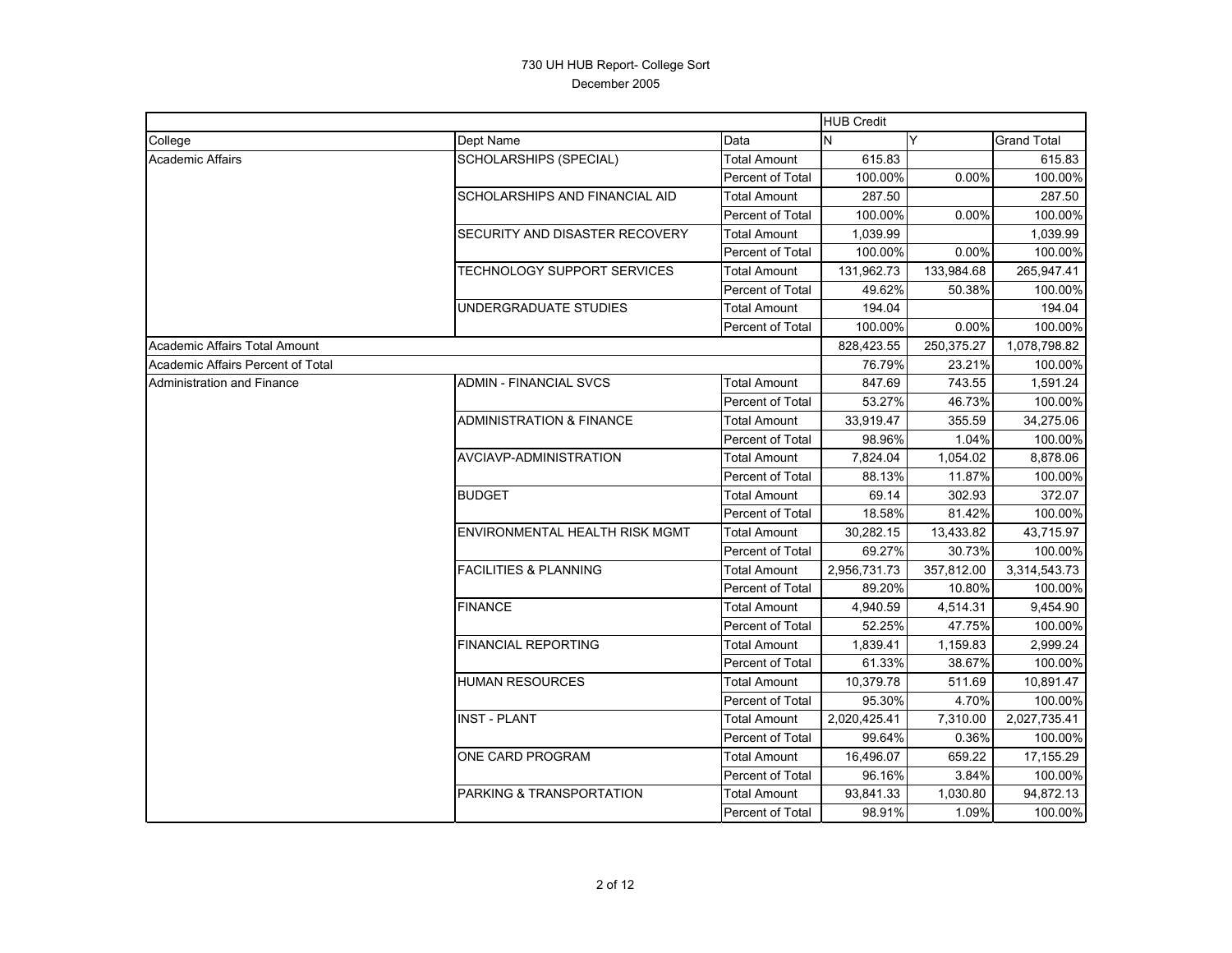|                                   |                                     |                         | <b>HUB Credit</b> |            |                    |
|-----------------------------------|-------------------------------------|-------------------------|-------------------|------------|--------------------|
| College                           | Dept Name                           | Data                    | N                 | Y          | <b>Grand Total</b> |
| <b>Academic Affairs</b>           | SCHOLARSHIPS (SPECIAL)              | <b>Total Amount</b>     | 615.83            |            | 615.83             |
|                                   |                                     | Percent of Total        | 100.00%           | 0.00%      | 100.00%            |
|                                   | SCHOLARSHIPS AND FINANCIAL AID      | <b>Total Amount</b>     | 287.50            |            | 287.50             |
|                                   |                                     | Percent of Total        | 100.00%           | 0.00%      | 100.00%            |
|                                   | SECURITY AND DISASTER RECOVERY      | <b>Total Amount</b>     | 1,039.99          |            | 1,039.99           |
|                                   |                                     | Percent of Total        | 100.00%           | 0.00%      | 100.00%            |
|                                   | <b>TECHNOLOGY SUPPORT SERVICES</b>  | <b>Total Amount</b>     | 131,962.73        | 133,984.68 | 265,947.41         |
|                                   |                                     | <b>Percent of Total</b> | 49.62%            | 50.38%     | 100.00%            |
|                                   | UNDERGRADUATE STUDIES               | <b>Total Amount</b>     | 194.04            |            | 194.04             |
|                                   |                                     | Percent of Total        | 100.00%           | 0.00%      | 100.00%            |
| Academic Affairs Total Amount     |                                     |                         | 828,423.55        | 250,375.27 | 1,078,798.82       |
| Academic Affairs Percent of Total |                                     |                         | 76.79%            | 23.21%     | 100.00%            |
| Administration and Finance        | <b>ADMIN - FINANCIAL SVCS</b>       | <b>Total Amount</b>     | 847.69            | 743.55     | 1,591.24           |
|                                   |                                     | Percent of Total        | 53.27%            | 46.73%     | 100.00%            |
|                                   | <b>ADMINISTRATION &amp; FINANCE</b> | <b>Total Amount</b>     | 33,919.47         | 355.59     | 34,275.06          |
|                                   |                                     | Percent of Total        | 98.96%            | 1.04%      | 100.00%            |
|                                   | AVCIAVP-ADMINISTRATION              | <b>Total Amount</b>     | 7,824.04          | 1,054.02   | 8,878.06           |
|                                   |                                     | <b>Percent of Total</b> | 88.13%            | 11.87%     | 100.00%            |
|                                   | <b>BUDGET</b>                       | <b>Total Amount</b>     | 69.14             | 302.93     | 372.07             |
|                                   |                                     | Percent of Total        | 18.58%            | 81.42%     | 100.00%            |
|                                   | ENVIRONMENTAL HEALTH RISK MGMT      | <b>Total Amount</b>     | 30,282.15         | 13,433.82  | 43,715.97          |
|                                   |                                     | <b>Percent of Total</b> | 69.27%            | 30.73%     | 100.00%            |
|                                   | <b>FACILITIES &amp; PLANNING</b>    | <b>Total Amount</b>     | 2,956,731.73      | 357,812.00 | 3,314,543.73       |
|                                   |                                     | Percent of Total        | 89.20%            | 10.80%     | 100.00%            |
|                                   | <b>FINANCE</b>                      | <b>Total Amount</b>     | 4,940.59          | 4,514.31   | 9,454.90           |
|                                   |                                     | <b>Percent of Total</b> | 52.25%            | 47.75%     | 100.00%            |
|                                   | <b>FINANCIAL REPORTING</b>          | <b>Total Amount</b>     | 1,839.41          | 1,159.83   | 2,999.24           |
|                                   |                                     | <b>Percent of Total</b> | 61.33%            | 38.67%     | 100.00%            |
|                                   | <b>HUMAN RESOURCES</b>              | <b>Total Amount</b>     | 10,379.78         | 511.69     | 10,891.47          |
|                                   |                                     | <b>Percent of Total</b> | 95.30%            | 4.70%      | 100.00%            |
|                                   | <b>INST - PLANT</b>                 | <b>Total Amount</b>     | 2,020,425.41      | 7,310.00   | 2,027,735.41       |
|                                   |                                     | <b>Percent of Total</b> | 99.64%            | 0.36%      | 100.00%            |
|                                   | ONE CARD PROGRAM                    | <b>Total Amount</b>     | 16,496.07         | 659.22     | 17,155.29          |
|                                   |                                     | Percent of Total        | 96.16%            | 3.84%      | 100.00%            |
|                                   | PARKING & TRANSPORTATION            | <b>Total Amount</b>     | 93,841.33         | 1,030.80   | 94,872.13          |
|                                   |                                     | Percent of Total        | 98.91%            | 1.09%      | 100.00%            |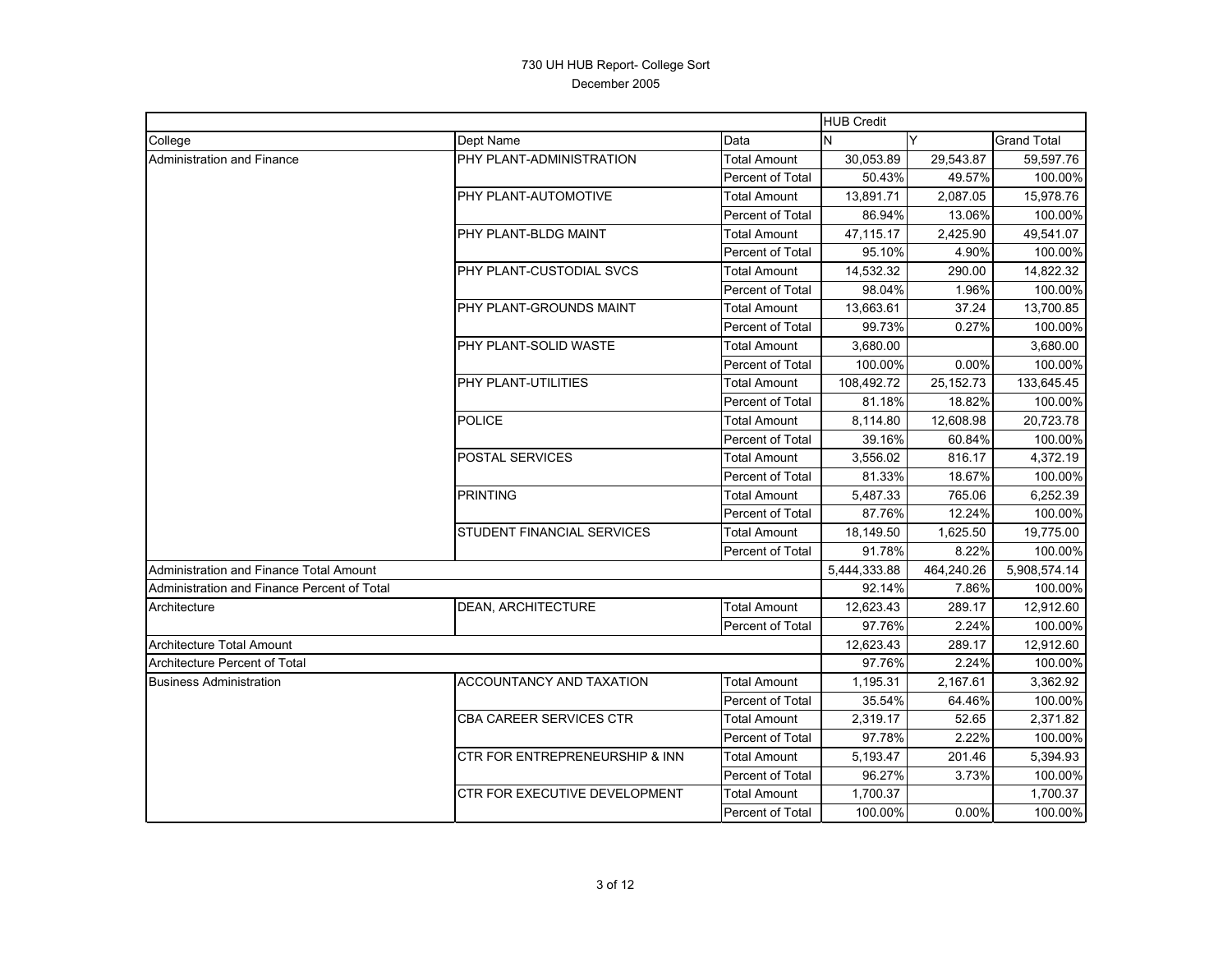|                                             |                                |                         | <b>HUB Credit</b> |             |                    |
|---------------------------------------------|--------------------------------|-------------------------|-------------------|-------------|--------------------|
| College                                     | Dept Name                      | Data                    | N                 | Y           | <b>Grand Total</b> |
| Administration and Finance                  | PHY PLANT-ADMINISTRATION       | <b>Total Amount</b>     | 30,053.89         | 29,543.87   | 59,597.76          |
|                                             |                                | Percent of Total        | 50.43%            | 49.57%      | 100.00%            |
|                                             | PHY PLANT-AUTOMOTIVE           | Total Amount            | 13,891.71         | 2,087.05    | 15,978.76          |
|                                             |                                | Percent of Total        | 86.94%            | 13.06%      | 100.00%            |
|                                             | PHY PLANT-BLDG MAINT           | Total Amount            | 47,115.17         | 2,425.90    | 49,541.07          |
|                                             |                                | Percent of Total        | 95.10%            | 4.90%       | 100.00%            |
|                                             | PHY PLANT-CUSTODIAL SVCS       | <b>Total Amount</b>     | 14,532.32         | 290.00      | 14,822.32          |
|                                             |                                | Percent of Total        | 98.04%            | 1.96%       | 100.00%            |
|                                             | PHY PLANT-GROUNDS MAINT        | <b>Total Amount</b>     | 13,663.61         | 37.24       | 13,700.85          |
|                                             |                                | Percent of Total        | 99.73%            | 0.27%       | 100.00%            |
|                                             | PHY PLANT-SOLID WASTE          | <b>Total Amount</b>     | 3,680.00          |             | 3,680.00           |
|                                             |                                | Percent of Total        | 100.00%           | 0.00%       | 100.00%            |
|                                             | PHY PLANT-UTILITIES            | Total Amount            | 108,492.72        | 25, 152. 73 | 133,645.45         |
|                                             |                                | Percent of Total        | 81.18%            | 18.82%      | 100.00%            |
|                                             | <b>POLICE</b>                  | Total Amount            | 8,114.80          | 12,608.98   | 20,723.78          |
|                                             |                                | Percent of Total        | 39.16%            | 60.84%      | 100.00%            |
|                                             | POSTAL SERVICES                | <b>Total Amount</b>     | 3.556.02          | 816.17      | 4.372.19           |
|                                             |                                | Percent of Total        | 81.33%            | 18.67%      | 100.00%            |
|                                             | <b>PRINTING</b>                | <b>Total Amount</b>     | 5,487.33          | 765.06      | 6,252.39           |
|                                             |                                | Percent of Total        | 87.76%            | 12.24%      | 100.00%            |
|                                             | STUDENT FINANCIAL SERVICES     | <b>Total Amount</b>     | 18,149.50         | 1,625.50    | 19,775.00          |
|                                             |                                | Percent of Total        | 91.78%            | 8.22%       | 100.00%            |
| Administration and Finance Total Amount     |                                |                         | 5,444,333.88      | 464,240.26  | 5,908,574.14       |
| Administration and Finance Percent of Total |                                |                         | 92.14%            | 7.86%       | 100.00%            |
| Architecture                                | <b>DEAN, ARCHITECTURE</b>      | <b>Total Amount</b>     | 12,623.43         | 289.17      | 12,912.60          |
|                                             |                                | Percent of Total        | 97.76%            | 2.24%       | 100.00%            |
| <b>Architecture Total Amount</b>            |                                |                         | 12,623.43         | 289.17      | 12,912.60          |
| Architecture Percent of Total               |                                |                         | 97.76%            | 2.24%       | 100.00%            |
| <b>Business Administration</b>              | ACCOUNTANCY AND TAXATION       | <b>Total Amount</b>     | 1,195.31          | 2,167.61    | 3,362.92           |
|                                             |                                | Percent of Total        | 35.54%            | 64.46%      | 100.00%            |
|                                             | <b>CBA CAREER SERVICES CTR</b> | <b>Total Amount</b>     | 2,319.17          | 52.65       | 2,371.82           |
|                                             |                                | Percent of Total        | 97.78%            | 2.22%       | 100.00%            |
|                                             | CTR FOR ENTREPRENEURSHIP & INN | <b>Total Amount</b>     | 5,193.47          | 201.46      | 5,394.93           |
|                                             |                                | Percent of Total        | 96.27%            | 3.73%       | 100.00%            |
|                                             | CTR FOR EXECUTIVE DEVELOPMENT  | <b>Total Amount</b>     | 1,700.37          |             | 1,700.37           |
|                                             |                                | <b>Percent of Total</b> | 100.00%           | 0.00%       | 100.00%            |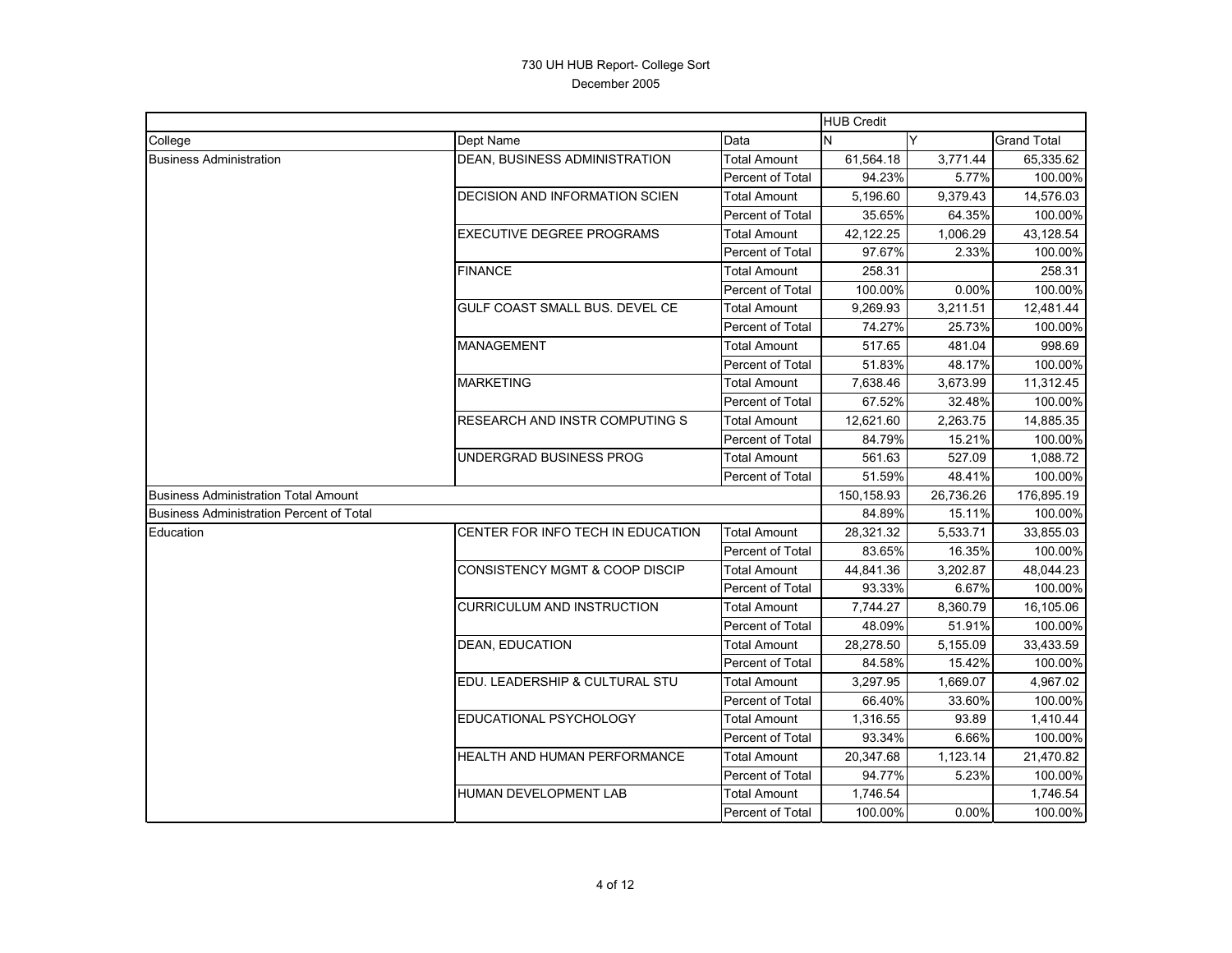|                                             |                                       |                     | <b>HUB Credit</b> |           |                    |
|---------------------------------------------|---------------------------------------|---------------------|-------------------|-----------|--------------------|
| College                                     | Dept Name                             | Data                | N                 | Y         | <b>Grand Total</b> |
| <b>Business Administration</b>              | DEAN, BUSINESS ADMINISTRATION         | <b>Total Amount</b> | 61,564.18         | 3,771.44  | 65,335.62          |
|                                             |                                       | Percent of Total    | 94.23%            | 5.77%     | 100.00%            |
|                                             | <b>DECISION AND INFORMATION SCIEN</b> | Total Amount        | 5,196.60          | 9,379.43  | 14,576.03          |
|                                             |                                       | Percent of Total    | 35.65%            | 64.35%    | 100.00%            |
|                                             | <b>EXECUTIVE DEGREE PROGRAMS</b>      | <b>Total Amount</b> | 42,122.25         | 1,006.29  | 43,128.54          |
|                                             |                                       | Percent of Total    | 97.67%            | 2.33%     | 100.00%            |
|                                             | <b>FINANCE</b>                        | <b>Total Amount</b> | 258.31            |           | 258.31             |
|                                             |                                       | Percent of Total    | 100.00%           | 0.00%     | 100.00%            |
|                                             | GULF COAST SMALL BUS. DEVEL CE        | Total Amount        | 9,269.93          | 3,211.51  | 12,481.44          |
|                                             |                                       | Percent of Total    | 74.27%            | 25.73%    | 100.00%            |
|                                             | <b>MANAGEMENT</b>                     | Total Amount        | 517.65            | 481.04    | 998.69             |
|                                             |                                       | Percent of Total    | 51.83%            | 48.17%    | 100.00%            |
|                                             | <b>MARKETING</b>                      | <b>Total Amount</b> | 7,638.46          | 3,673.99  | 11,312.45          |
|                                             |                                       | Percent of Total    | 67.52%            | 32.48%    | 100.00%            |
|                                             | <b>RESEARCH AND INSTR COMPUTING S</b> | <b>Total Amount</b> | 12,621.60         | 2,263.75  | 14,885.35          |
|                                             |                                       | Percent of Total    | 84.79%            | 15.21%    | 100.00%            |
|                                             | UNDERGRAD BUSINESS PROG               | <b>Total Amount</b> | 561.63            | 527.09    | 1,088.72           |
|                                             |                                       | Percent of Total    | 51.59%            | 48.41%    | 100.00%            |
| <b>Business Administration Total Amount</b> |                                       |                     | 150,158.93        | 26,736.26 | 176,895.19         |
| Business Administration Percent of Total    |                                       |                     | 84.89%            | 15.11%    | 100.00%            |
| Education                                   | CENTER FOR INFO TECH IN EDUCATION     | <b>Total Amount</b> | 28,321.32         | 5,533.71  | 33,855.03          |
|                                             |                                       | Percent of Total    | 83.65%            | 16.35%    | 100.00%            |
|                                             | CONSISTENCY MGMT & COOP DISCIP        | Total Amount        | 44,841.36         | 3,202.87  | 48,044.23          |
|                                             |                                       | Percent of Total    | 93.33%            | 6.67%     | 100.00%            |
|                                             | <b>CURRICULUM AND INSTRUCTION</b>     | Total Amount        | 7,744.27          | 8,360.79  | 16,105.06          |
|                                             |                                       | Percent of Total    | 48.09%            | 51.91%    | 100.00%            |
|                                             | DEAN, EDUCATION                       | <b>Total Amount</b> | 28,278.50         | 5,155.09  | 33,433.59          |
|                                             |                                       | Percent of Total    | 84.58%            | 15.42%    | 100.00%            |
|                                             | EDU. LEADERSHIP & CULTURAL STU        | <b>Total Amount</b> | 3,297.95          | 1,669.07  | 4,967.02           |
|                                             |                                       | Percent of Total    | 66.40%            | 33.60%    | 100.00%            |
|                                             | EDUCATIONAL PSYCHOLOGY                | Total Amount        | 1,316.55          | 93.89     | 1,410.44           |
|                                             |                                       | Percent of Total    | 93.34%            | 6.66%     | 100.00%            |
|                                             | <b>HEALTH AND HUMAN PERFORMANCE</b>   | Total Amount        | 20,347.68         | 1,123.14  | 21,470.82          |
|                                             |                                       | Percent of Total    | 94.77%            | 5.23%     | 100.00%            |
|                                             | <b>HUMAN DEVELOPMENT LAB</b>          | <b>Total Amount</b> | 1,746.54          |           | 1,746.54           |
|                                             |                                       | Percent of Total    | 100.00%           | 0.00%     | 100.00%            |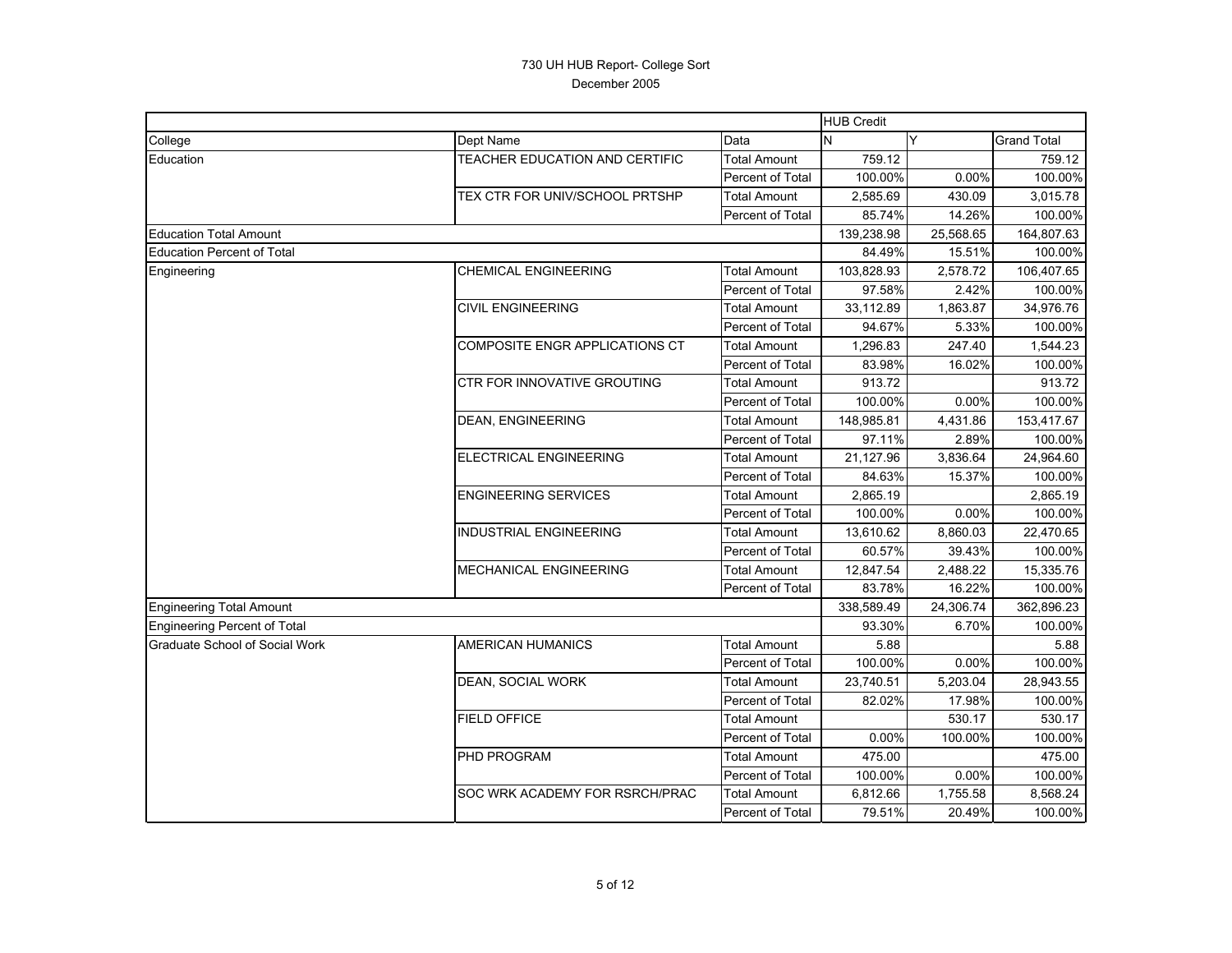|                                   |                                |                         | <b>HUB Credit</b> |           |                    |
|-----------------------------------|--------------------------------|-------------------------|-------------------|-----------|--------------------|
| College                           | Dept Name                      | Data                    | N                 | Y         | <b>Grand Total</b> |
| Education                         | TEACHER EDUCATION AND CERTIFIC | Total Amount            | 759.12            |           | 759.12             |
|                                   |                                | Percent of Total        | 100.00%           | 0.00%     | 100.00%            |
|                                   | TEX CTR FOR UNIV/SCHOOL PRTSHP | <b>Total Amount</b>     | 2,585.69          | 430.09    | 3,015.78           |
|                                   |                                | Percent of Total        | 85.74%            | 14.26%    | 100.00%            |
| <b>Education Total Amount</b>     |                                |                         | 139,238.98        | 25,568.65 | 164,807.63         |
| <b>Education Percent of Total</b> |                                |                         | 84.49%            | 15.51%    | 100.00%            |
| Engineering                       | <b>CHEMICAL ENGINEERING</b>    | <b>Total Amount</b>     | 103,828.93        | 2,578.72  | 106,407.65         |
|                                   |                                | Percent of Total        | 97.58%            | 2.42%     | 100.00%            |
|                                   | <b>CIVIL ENGINEERING</b>       | <b>Total Amount</b>     | 33,112.89         | 1,863.87  | 34,976.76          |
|                                   |                                | Percent of Total        | 94.67%            | 5.33%     | 100.00%            |
|                                   | COMPOSITE ENGR APPLICATIONS CT | Total Amount            | 1,296.83          | 247.40    | 1,544.23           |
|                                   |                                | Percent of Total        | 83.98%            | 16.02%    | 100.00%            |
|                                   | CTR FOR INNOVATIVE GROUTING    | <b>Total Amount</b>     | 913.72            |           | 913.72             |
|                                   |                                | Percent of Total        | 100.00%           | 0.00%     | 100.00%            |
|                                   | <b>DEAN, ENGINEERING</b>       | <b>Total Amount</b>     | 148,985.81        | 4,431.86  | 153,417.67         |
|                                   |                                | Percent of Total        | 97.11%            | 2.89%     | 100.00%            |
|                                   | <b>ELECTRICAL ENGINEERING</b>  | <b>Total Amount</b>     | 21,127.96         | 3,836.64  | 24,964.60          |
|                                   |                                | Percent of Total        | 84.63%            | 15.37%    | 100.00%            |
|                                   | <b>ENGINEERING SERVICES</b>    | <b>Total Amount</b>     | 2,865.19          |           | 2,865.19           |
|                                   |                                | Percent of Total        | 100.00%           | 0.00%     | 100.00%            |
|                                   | <b>INDUSTRIAL ENGINEERING</b>  | <b>Total Amount</b>     | 13,610.62         | 8,860.03  | 22,470.65          |
|                                   |                                | Percent of Total        | 60.57%            | 39.43%    | 100.00%            |
|                                   | <b>MECHANICAL ENGINEERING</b>  | Total Amount            | 12,847.54         | 2,488.22  | 15,335.76          |
|                                   |                                | Percent of Total        | 83.78%            | 16.22%    | 100.00%            |
| <b>Engineering Total Amount</b>   |                                |                         | 338,589.49        | 24,306.74 | 362,896.23         |
| Engineering Percent of Total      |                                |                         | 93.30%            | 6.70%     | 100.00%            |
| Graduate School of Social Work    | AMERICAN HUMANICS              | <b>Total Amount</b>     | 5.88              |           | 5.88               |
|                                   |                                | Percent of Total        | 100.00%           | 0.00%     | 100.00%            |
|                                   | DEAN, SOCIAL WORK              | Total Amount            | 23,740.51         | 5,203.04  | 28,943.55          |
|                                   |                                | Percent of Total        | 82.02%            | 17.98%    | 100.00%            |
|                                   | <b>FIELD OFFICE</b>            | <b>Total Amount</b>     |                   | 530.17    | 530.17             |
|                                   |                                | Percent of Total        | 0.00%             | 100.00%   | 100.00%            |
|                                   | PHD PROGRAM                    | <b>Total Amount</b>     | 475.00            |           | 475.00             |
|                                   |                                | <b>Percent of Total</b> | 100.00%           | 0.00%     | 100.00%            |
|                                   | SOC WRK ACADEMY FOR RSRCH/PRAC | <b>Total Amount</b>     | 6,812.66          | 1,755.58  | 8,568.24           |
|                                   |                                | <b>Percent of Total</b> | 79.51%            | 20.49%    | 100.00%            |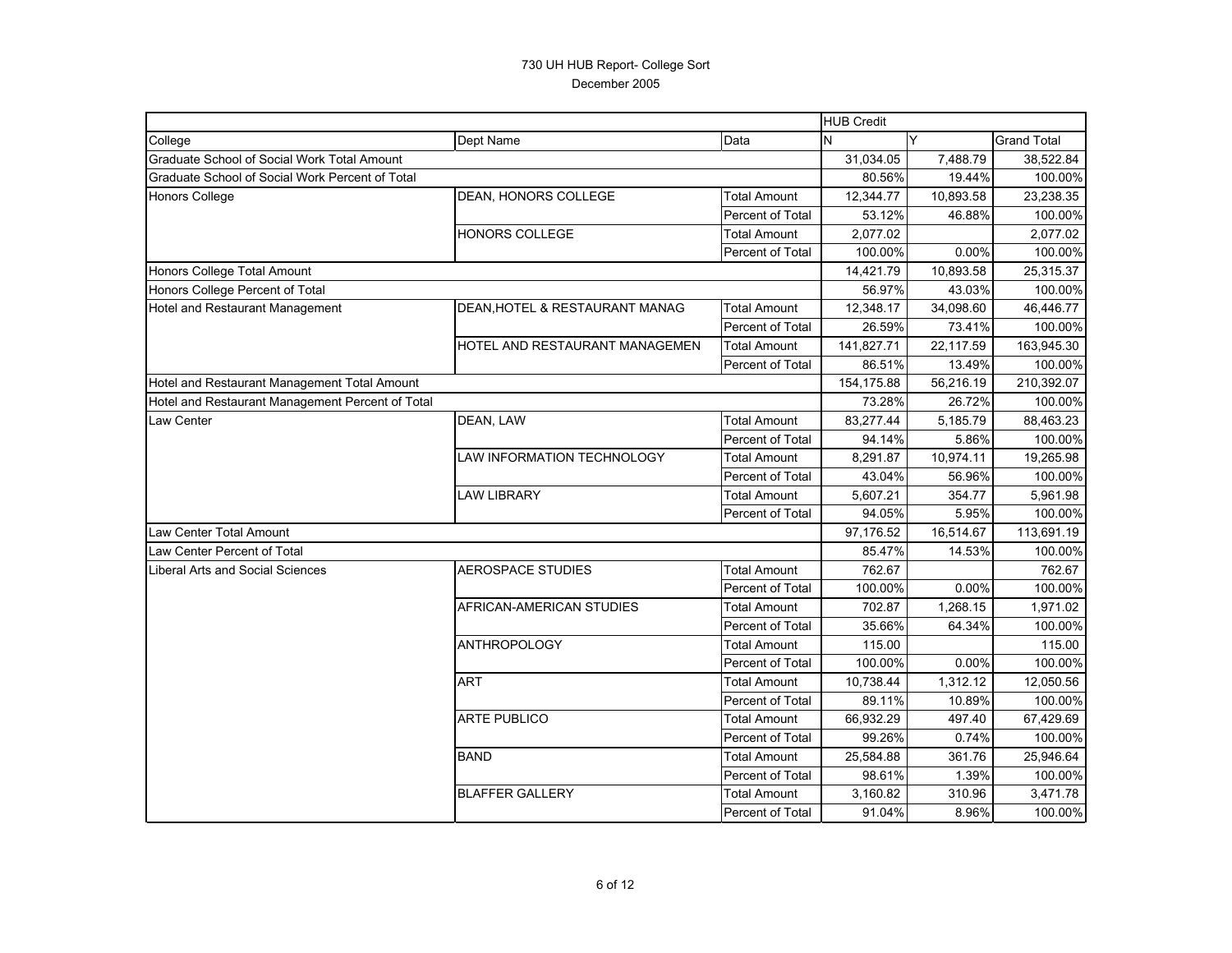|                                                  |                                |                         | <b>HUB Credit</b> |           |                    |
|--------------------------------------------------|--------------------------------|-------------------------|-------------------|-----------|--------------------|
| College                                          | Dept Name                      | Data                    | N                 | Y         | <b>Grand Total</b> |
| Graduate School of Social Work Total Amount      |                                |                         | 31,034.05         | 7,488.79  | 38,522.84          |
| Graduate School of Social Work Percent of Total  |                                |                         | 80.56%            | 19.44%    | 100.00%            |
| <b>Honors College</b>                            | DEAN, HONORS COLLEGE           | <b>Total Amount</b>     | 12,344.77         | 10,893.58 | 23,238.35          |
|                                                  |                                | Percent of Total        | 53.12%            | 46.88%    | 100.00%            |
|                                                  | HONORS COLLEGE                 | <b>Total Amount</b>     | 2,077.02          |           | 2,077.02           |
|                                                  |                                | Percent of Total        | 100.00%           | 0.00%     | 100.00%            |
| Honors College Total Amount                      |                                |                         | 14,421.79         | 10,893.58 | 25,315.37          |
| Honors College Percent of Total                  |                                |                         | 56.97%            | 43.03%    | 100.00%            |
| Hotel and Restaurant Management                  | DEAN, HOTEL & RESTAURANT MANAG | <b>Total Amount</b>     | 12,348.17         | 34,098.60 | 46,446.77          |
|                                                  |                                | Percent of Total        | 26.59%            | 73.41%    | 100.00%            |
|                                                  | HOTEL AND RESTAURANT MANAGEMEN | <b>Total Amount</b>     | 141,827.71        | 22,117.59 | 163,945.30         |
|                                                  |                                | Percent of Total        | 86.51%            | 13.49%    | 100.00%            |
| Hotel and Restaurant Management Total Amount     |                                |                         | 154,175.88        | 56,216.19 | 210,392.07         |
| Hotel and Restaurant Management Percent of Total |                                |                         | 73.28%            | 26.72%    | 100.00%            |
| Law Center                                       | DEAN, LAW                      | <b>Total Amount</b>     | 83,277.44         | 5,185.79  | 88,463.23          |
|                                                  |                                | Percent of Total        | 94.14%            | 5.86%     | 100.00%            |
|                                                  | LAW INFORMATION TECHNOLOGY     | <b>Total Amount</b>     | 8,291.87          | 10,974.11 | 19,265.98          |
|                                                  |                                | Percent of Total        | 43.04%            | 56.96%    | 100.00%            |
|                                                  | <b>LAW LIBRARY</b>             | <b>Total Amount</b>     | 5,607.21          | 354.77    | 5,961.98           |
|                                                  |                                | Percent of Total        | 94.05%            | 5.95%     | 100.00%            |
| Law Center Total Amount                          |                                |                         | 97,176.52         | 16,514.67 | 113,691.19         |
| Law Center Percent of Total                      |                                |                         | 85.47%            | 14.53%    | 100.00%            |
| Liberal Arts and Social Sciences                 | <b>AEROSPACE STUDIES</b>       | <b>Total Amount</b>     | 762.67            |           | 762.67             |
|                                                  |                                | Percent of Total        | 100.00%           | 0.00%     | 100.00%            |
|                                                  | AFRICAN-AMERICAN STUDIES       | <b>Total Amount</b>     | 702.87            | 1,268.15  | 1,971.02           |
|                                                  |                                | Percent of Total        | 35.66%            | 64.34%    | 100.00%            |
|                                                  | <b>ANTHROPOLOGY</b>            | <b>Total Amount</b>     | 115.00            |           | 115.00             |
|                                                  |                                | Percent of Total        | 100.00%           | 0.00%     | 100.00%            |
|                                                  | <b>ART</b>                     | <b>Total Amount</b>     | 10,738.44         | 1,312.12  | 12,050.56          |
|                                                  |                                | Percent of Total        | 89.11%            | 10.89%    | 100.00%            |
|                                                  | <b>ARTE PUBLICO</b>            | <b>Total Amount</b>     | 66,932.29         | 497.40    | 67,429.69          |
|                                                  |                                | Percent of Total        | 99.26%            | 0.74%     | 100.00%            |
|                                                  | <b>BAND</b>                    | <b>Total Amount</b>     | 25,584.88         | 361.76    | 25,946.64          |
|                                                  |                                | Percent of Total        | 98.61%            | 1.39%     | 100.00%            |
|                                                  | <b>BLAFFER GALLERY</b>         | <b>Total Amount</b>     | 3,160.82          | 310.96    | 3,471.78           |
|                                                  |                                | <b>Percent of Total</b> | 91.04%            | 8.96%     | 100.00%            |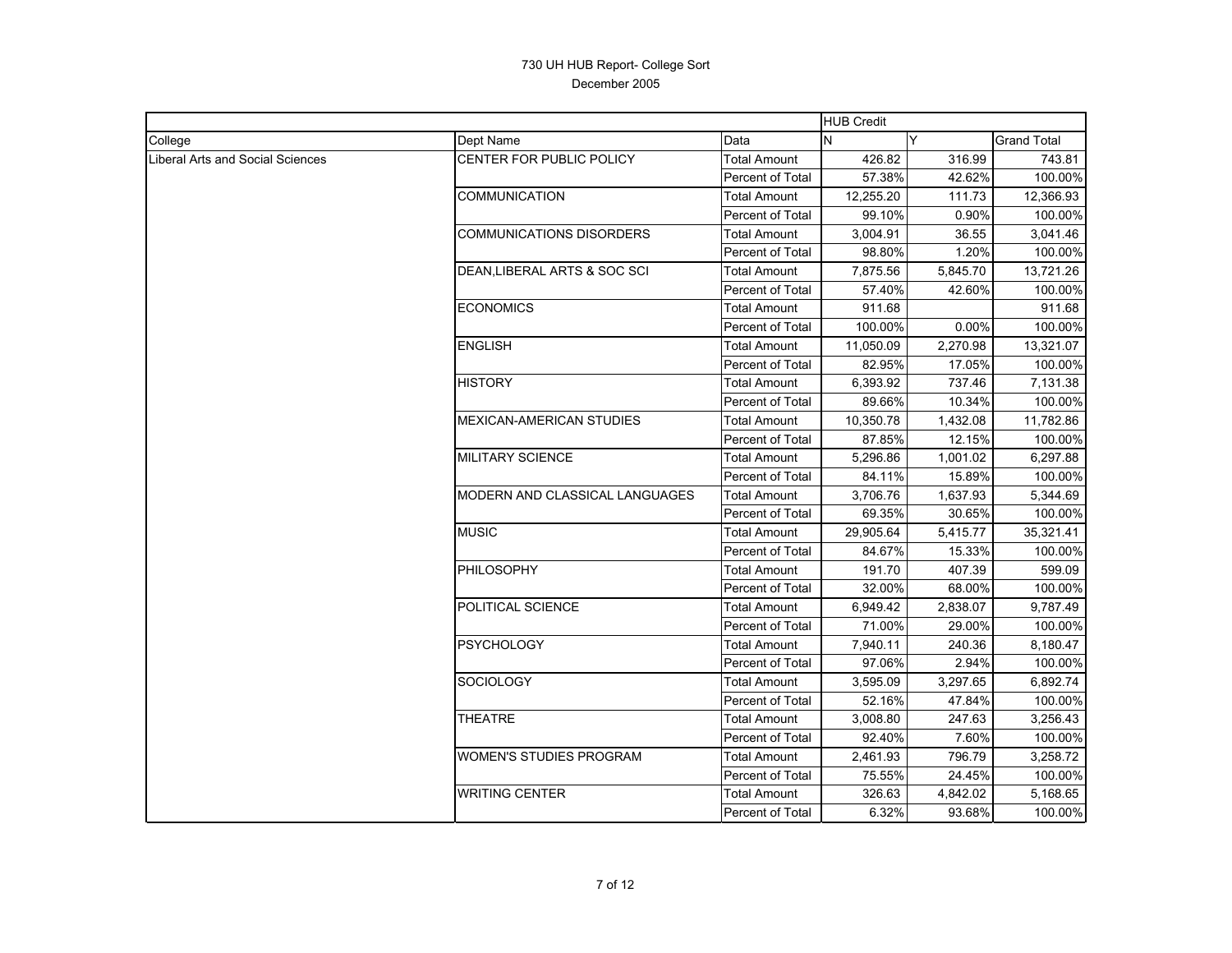|                                         |                                 |                     | <b>HUB Credit</b> |          |             |
|-----------------------------------------|---------------------------------|---------------------|-------------------|----------|-------------|
| College                                 | Dept Name                       | Data                | N                 | Y        | Grand Total |
| <b>Liberal Arts and Social Sciences</b> | CENTER FOR PUBLIC POLICY        | <b>Total Amount</b> | 426.82            | 316.99   | 743.81      |
|                                         |                                 | Percent of Total    | 57.38%            | 42.62%   | 100.00%     |
|                                         | COMMUNICATION                   | Total Amount        | 12,255.20         | 111.73   | 12,366.93   |
|                                         |                                 | Percent of Total    | 99.10%            | 0.90%    | 100.00%     |
|                                         | <b>COMMUNICATIONS DISORDERS</b> | Total Amount        | 3,004.91          | 36.55    | 3,041.46    |
|                                         |                                 | Percent of Total    | 98.80%            | 1.20%    | 100.00%     |
|                                         | DEAN, LIBERAL ARTS & SOC SCI    | <b>Total Amount</b> | 7,875.56          | 5,845.70 | 13,721.26   |
|                                         |                                 | Percent of Total    | 57.40%            | 42.60%   | 100.00%     |
|                                         | <b>ECONOMICS</b>                | <b>Total Amount</b> | 911.68            |          | 911.68      |
|                                         |                                 | Percent of Total    | 100.00%           | 0.00%    | 100.00%     |
|                                         | <b>ENGLISH</b>                  | Total Amount        | 11,050.09         | 2,270.98 | 13,321.07   |
|                                         |                                 | Percent of Total    | 82.95%            | 17.05%   | 100.00%     |
|                                         | <b>HISTORY</b>                  | Total Amount        | 6,393.92          | 737.46   | 7,131.38    |
|                                         |                                 | Percent of Total    | 89.66%            | 10.34%   | 100.00%     |
|                                         | MEXICAN-AMERICAN STUDIES        | <b>Total Amount</b> | 10,350.78         | 1,432.08 | 11,782.86   |
|                                         |                                 | Percent of Total    | 87.85%            | 12.15%   | 100.00%     |
|                                         | <b>MILITARY SCIENCE</b>         | <b>Total Amount</b> | 5,296.86          | 1,001.02 | 6,297.88    |
|                                         |                                 | Percent of Total    | 84.11%            | 15.89%   | 100.00%     |
|                                         | MODERN AND CLASSICAL LANGUAGES  | <b>Total Amount</b> | 3,706.76          | 1,637.93 | 5,344.69    |
|                                         |                                 | Percent of Total    | 69.35%            | 30.65%   | 100.00%     |
|                                         | <b>MUSIC</b>                    | Total Amount        | 29,905.64         | 5,415.77 | 35,321.41   |
|                                         |                                 | Percent of Total    | 84.67%            | 15.33%   | 100.00%     |
|                                         | <b>PHILOSOPHY</b>               | Total Amount        | 191.70            | 407.39   | 599.09      |
|                                         |                                 | Percent of Total    | 32.00%            | 68.00%   | 100.00%     |
|                                         | POLITICAL SCIENCE               | <b>Total Amount</b> | 6,949.42          | 2,838.07 | 9,787.49    |
|                                         |                                 | Percent of Total    | 71.00%            | 29.00%   | 100.00%     |
|                                         | PSYCHOLOGY                      | <b>Total Amount</b> | 7,940.11          | 240.36   | 8,180.47    |
|                                         |                                 | Percent of Total    | 97.06%            | 2.94%    | 100.00%     |
|                                         | <b>SOCIOLOGY</b>                | <b>Total Amount</b> | 3,595.09          | 3,297.65 | 6,892.74    |
|                                         |                                 | Percent of Total    | 52.16%            | 47.84%   | 100.00%     |
|                                         | <b>THEATRE</b>                  | <b>Total Amount</b> | 3,008.80          | 247.63   | 3,256.43    |
|                                         |                                 | Percent of Total    | 92.40%            | 7.60%    | 100.00%     |
|                                         | WOMEN'S STUDIES PROGRAM         | <b>Total Amount</b> | 2,461.93          | 796.79   | 3,258.72    |
|                                         |                                 | Percent of Total    | 75.55%            | 24.45%   | 100.00%     |
|                                         | WRITING CENTER                  | <b>Total Amount</b> | 326.63            | 4,842.02 | 5,168.65    |
|                                         |                                 | Percent of Total    | 6.32%             | 93.68%   | 100.00%     |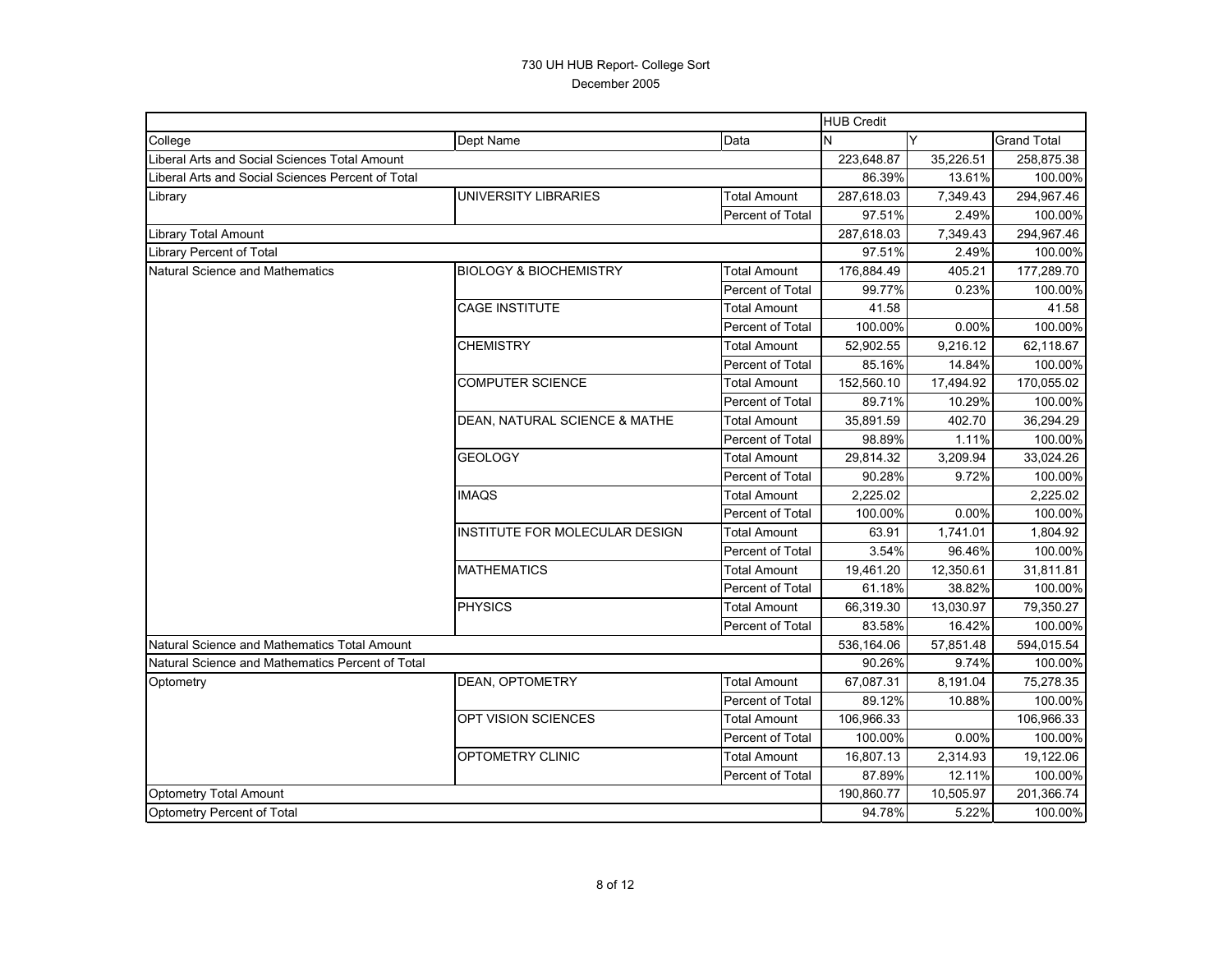|                                                   |                                   | <b>HUB Credit</b>   |            |           |                    |
|---------------------------------------------------|-----------------------------------|---------------------|------------|-----------|--------------------|
| College                                           | Dept Name                         | Data                | N          | Y         | <b>Grand Total</b> |
| Liberal Arts and Social Sciences Total Amount     |                                   |                     | 223,648.87 | 35,226.51 | 258,875.38         |
| Liberal Arts and Social Sciences Percent of Total |                                   |                     | 86.39%     | 13.61%    | 100.00%            |
| Library                                           | UNIVERSITY LIBRARIES              | <b>Total Amount</b> | 287,618.03 | 7,349.43  | 294,967.46         |
|                                                   | Percent of Total                  |                     | 97.51%     | 2.49%     | 100.00%            |
| Library Total Amount                              |                                   |                     | 287,618.03 | 7,349.43  | 294,967.46         |
| <b>Library Percent of Total</b>                   |                                   |                     | 97.51%     | 2.49%     | 100.00%            |
| <b>Natural Science and Mathematics</b>            | <b>BIOLOGY &amp; BIOCHEMISTRY</b> | Total Amount        | 176,884.49 | 405.21    | 177,289.70         |
|                                                   |                                   | Percent of Total    | 99.77%     | 0.23%     | 100.00%            |
|                                                   | CAGE INSTITUTE                    | <b>Total Amount</b> | 41.58      |           | 41.58              |
|                                                   |                                   | Percent of Total    | 100.00%    | 0.00%     | 100.00%            |
|                                                   | <b>CHEMISTRY</b>                  | <b>Total Amount</b> | 52,902.55  | 9,216.12  | 62,118.67          |
|                                                   |                                   | Percent of Total    | 85.16%     | 14.84%    | 100.00%            |
|                                                   | COMPUTER SCIENCE                  | <b>Total Amount</b> | 152,560.10 | 17,494.92 | 170,055.02         |
|                                                   |                                   | Percent of Total    | 89.71%     | 10.29%    | 100.00%            |
|                                                   | DEAN, NATURAL SCIENCE & MATHE     | <b>Total Amount</b> | 35,891.59  | 402.70    | 36,294.29          |
|                                                   |                                   | Percent of Total    | 98.89%     | 1.11%     | 100.00%            |
|                                                   | <b>GEOLOGY</b>                    | <b>Total Amount</b> | 29,814.32  | 3,209.94  | 33,024.26          |
|                                                   |                                   | Percent of Total    | 90.28%     | 9.72%     | 100.00%            |
|                                                   | <b>IMAQS</b>                      | <b>Total Amount</b> | 2,225.02   |           | 2,225.02           |
|                                                   |                                   | Percent of Total    | 100.00%    | 0.00%     | 100.00%            |
|                                                   | INSTITUTE FOR MOLECULAR DESIGN    | <b>Total Amount</b> | 63.91      | 1,741.01  | 1,804.92           |
|                                                   |                                   | Percent of Total    | 3.54%      | 96.46%    | 100.00%            |
|                                                   | MATHEMATICS                       | Total Amount        | 19,461.20  | 12,350.61 | 31,811.81          |
|                                                   |                                   | Percent of Total    | 61.18%     | 38.82%    | 100.00%            |
|                                                   | <b>PHYSICS</b>                    | <b>Total Amount</b> | 66,319.30  | 13,030.97 | 79,350.27          |
|                                                   |                                   | Percent of Total    | 83.58%     | 16.42%    | 100.00%            |
| Natural Science and Mathematics Total Amount      |                                   |                     | 536,164.06 | 57,851.48 | 594,015.54         |
| Natural Science and Mathematics Percent of Total  |                                   |                     | 90.26%     | 9.74%     | 100.00%            |
| Optometry                                         | DEAN, OPTOMETRY                   | <b>Total Amount</b> | 67,087.31  | 8,191.04  | 75,278.35          |
|                                                   |                                   | Percent of Total    | 89.12%     | 10.88%    | 100.00%            |
|                                                   | OPT VISION SCIENCES               | <b>Total Amount</b> | 106,966.33 |           | 106,966.33         |
|                                                   |                                   | Percent of Total    | 100.00%    | 0.00%     | 100.00%            |
|                                                   | <b>OPTOMETRY CLINIC</b>           | <b>Total Amount</b> | 16,807.13  | 2,314.93  | 19,122.06          |
|                                                   |                                   | Percent of Total    | 87.89%     | 12.11%    | 100.00%            |
| <b>Optometry Total Amount</b>                     |                                   |                     | 190,860.77 | 10,505.97 | 201,366.74         |
| Optometry Percent of Total                        |                                   |                     | 94.78%     | 5.22%     | 100.00%            |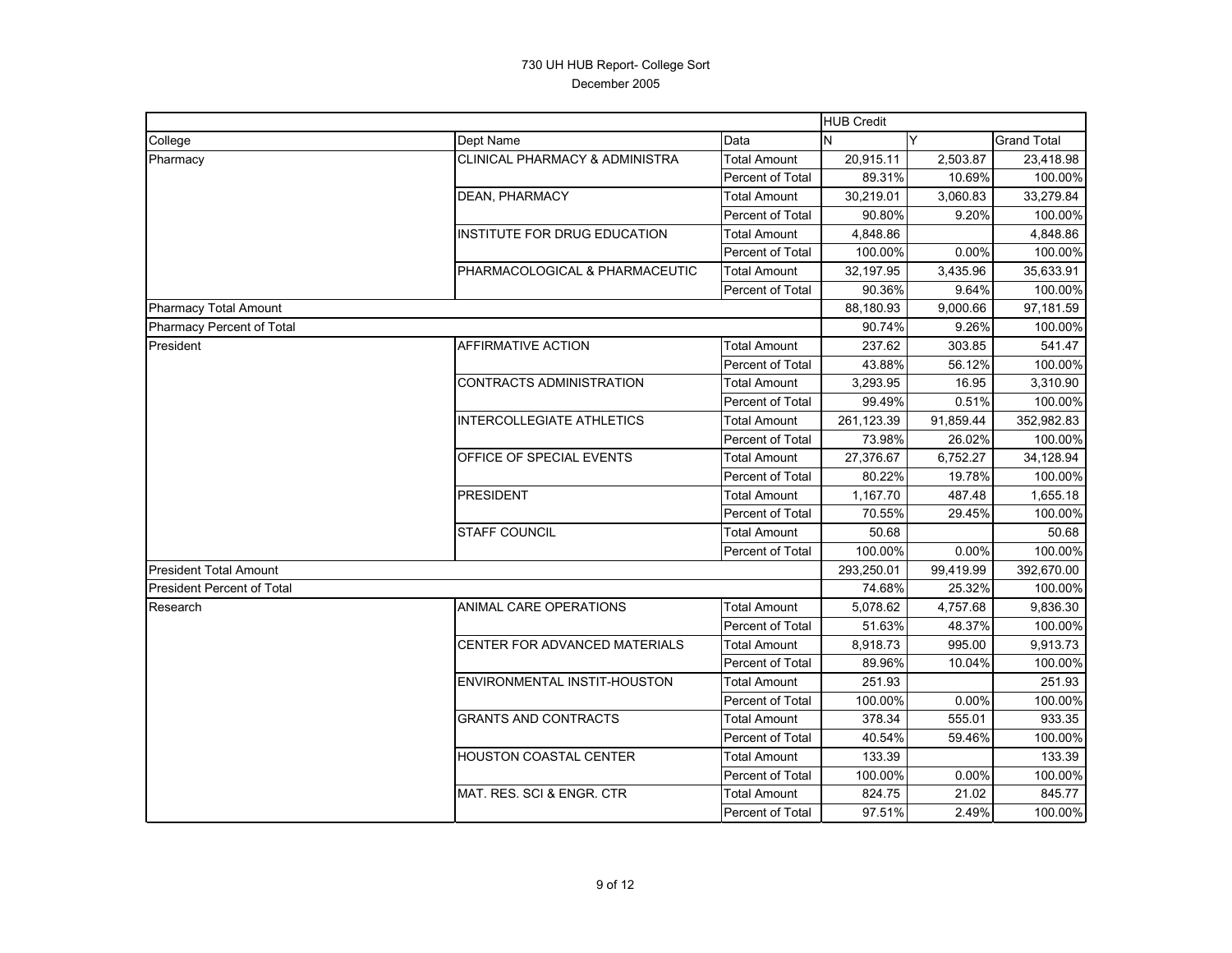|                                   |                                  |                         | <b>HUB Credit</b> |           |                    |
|-----------------------------------|----------------------------------|-------------------------|-------------------|-----------|--------------------|
| College                           | Dept Name                        | Data                    | Y<br>N            |           | <b>Grand Total</b> |
| Pharmacy                          | CLINICAL PHARMACY & ADMINISTRA   | <b>Total Amount</b>     | 20,915.11         | 2,503.87  | 23,418.98          |
|                                   |                                  | Percent of Total        | 89.31%            | 10.69%    | 100.00%            |
|                                   | DEAN, PHARMACY                   | <b>Total Amount</b>     | 30,219.01         | 3,060.83  | 33,279.84          |
|                                   |                                  | <b>Percent of Total</b> | 90.80%            | 9.20%     | 100.00%            |
|                                   | INSTITUTE FOR DRUG EDUCATION     | <b>Total Amount</b>     | 4,848.86          |           | 4,848.86           |
|                                   |                                  | <b>Percent of Total</b> | 100.00%           | 0.00%     | 100.00%            |
|                                   | PHARMACOLOGICAL & PHARMACEUTIC   | <b>Total Amount</b>     | 32,197.95         | 3,435.96  | 35,633.91          |
|                                   |                                  | Percent of Total        | 90.36%            | 9.64%     | 100.00%            |
| <b>Pharmacy Total Amount</b>      |                                  |                         | 88,180.93         | 9,000.66  | 97,181.59          |
| <b>Pharmacy Percent of Total</b>  |                                  |                         | 90.74%            | 9.26%     | 100.00%            |
| President                         | AFFIRMATIVE ACTION               | <b>Total Amount</b>     | 237.62            | 303.85    | 541.47             |
|                                   |                                  | Percent of Total        | 43.88%            | 56.12%    | 100.00%            |
|                                   | CONTRACTS ADMINISTRATION         | <b>Total Amount</b>     | 3,293.95          | 16.95     | 3,310.90           |
|                                   |                                  | Percent of Total        | 99.49%            | 0.51%     | 100.00%            |
|                                   | <b>INTERCOLLEGIATE ATHLETICS</b> | <b>Total Amount</b>     | 261,123.39        | 91,859.44 | 352,982.83         |
|                                   |                                  | Percent of Total        | 73.98%            | 26.02%    | 100.00%            |
|                                   | OFFICE OF SPECIAL EVENTS         | <b>Total Amount</b>     | 27,376.67         | 6,752.27  | 34,128.94          |
|                                   |                                  | Percent of Total        | 80.22%            | 19.78%    | 100.00%            |
|                                   | <b>PRESIDENT</b>                 | <b>Total Amount</b>     | 1,167.70          | 487.48    | 1,655.18           |
|                                   |                                  | Percent of Total        | 70.55%            | 29.45%    | 100.00%            |
|                                   | <b>STAFF COUNCIL</b>             | <b>Total Amount</b>     | 50.68             |           | 50.68              |
|                                   |                                  | Percent of Total        | 100.00%           | 0.00%     | 100.00%            |
| <b>President Total Amount</b>     |                                  |                         | 293,250.01        | 99,419.99 | 392,670.00         |
| <b>President Percent of Total</b> |                                  |                         | 74.68%            | 25.32%    | 100.00%            |
| Research                          | <b>ANIMAL CARE OPERATIONS</b>    | <b>Total Amount</b>     | 5,078.62          | 4,757.68  | 9,836.30           |
|                                   |                                  | <b>Percent of Total</b> | 51.63%            | 48.37%    | 100.00%            |
|                                   | CENTER FOR ADVANCED MATERIALS    | <b>Total Amount</b>     | 8,918.73          | 995.00    | 9,913.73           |
|                                   |                                  | <b>Percent of Total</b> | 89.96%            | 10.04%    | 100.00%            |
|                                   | ENVIRONMENTAL INSTIT-HOUSTON     | <b>Total Amount</b>     | 251.93            |           | 251.93             |
|                                   |                                  | Percent of Total        | 100.00%           | 0.00%     | 100.00%            |
|                                   | <b>GRANTS AND CONTRACTS</b>      | <b>Total Amount</b>     | 378.34            | 555.01    | 933.35             |
|                                   |                                  | Percent of Total        | 40.54%            | 59.46%    | 100.00%            |
|                                   | <b>HOUSTON COASTAL CENTER</b>    | <b>Total Amount</b>     | 133.39            |           | 133.39             |
|                                   |                                  | <b>Percent of Total</b> | 100.00%           | 0.00%     | 100.00%            |
|                                   | MAT. RES. SCI & ENGR. CTR        | <b>Total Amount</b>     | 824.75            | 21.02     | 845.77             |
|                                   |                                  | <b>Percent of Total</b> | 97.51%            | 2.49%     | 100.00%            |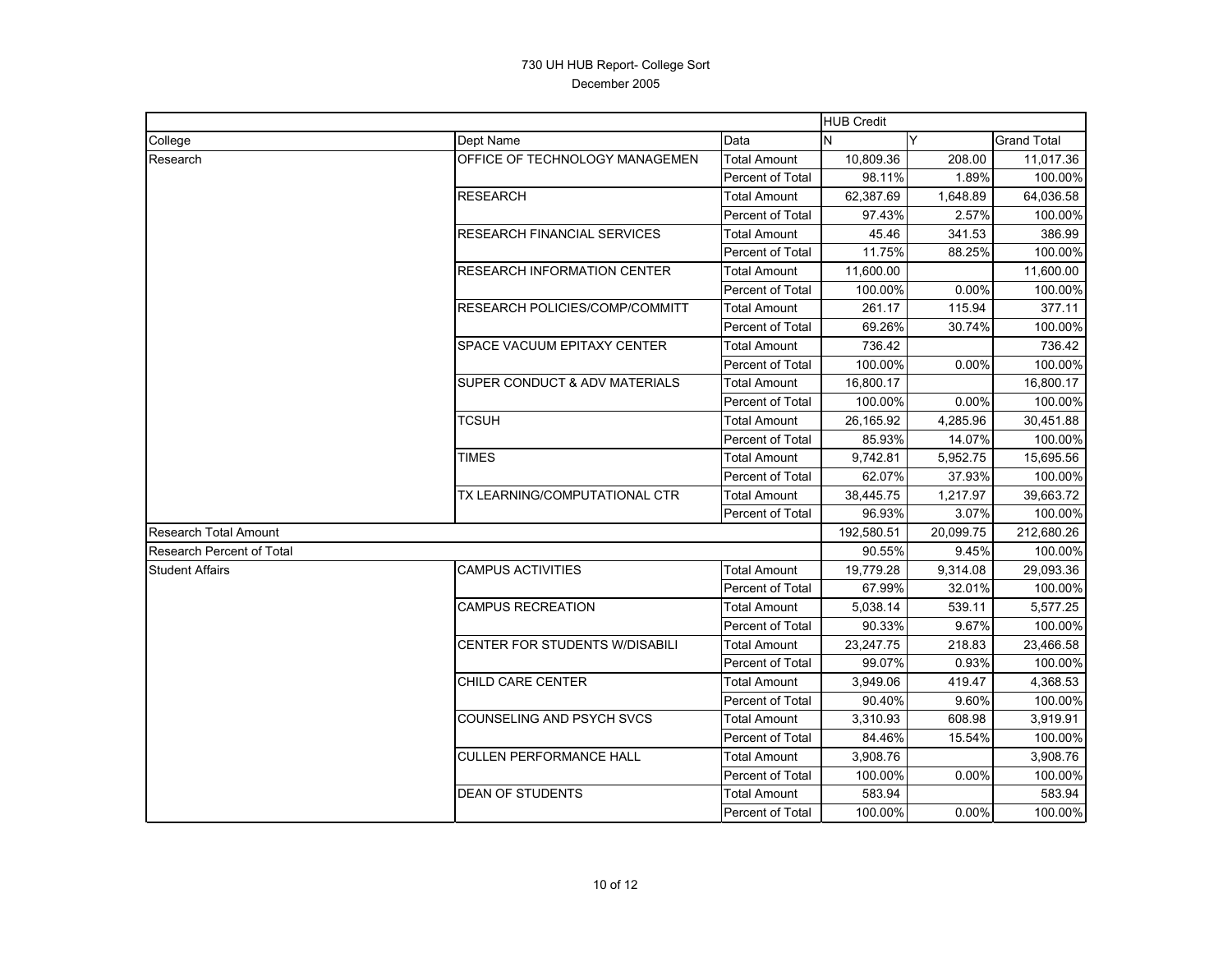|                           |                                    |                         | <b>HUB Credit</b> |           |                    |
|---------------------------|------------------------------------|-------------------------|-------------------|-----------|--------------------|
| College                   | Dept Name                          | Data                    | N                 | Y         | <b>Grand Total</b> |
| Research                  | OFFICE OF TECHNOLOGY MANAGEMEN     | <b>Total Amount</b>     | 10,809.36         | 208.00    | 11,017.36          |
|                           |                                    | Percent of Total        | 98.11%            | 1.89%     | 100.00%            |
|                           | RESEARCH                           | <b>Total Amount</b>     | 62,387.69         | 1,648.89  | 64,036.58          |
|                           |                                    | Percent of Total        | 97.43%            | 2.57%     | 100.00%            |
|                           | RESEARCH FINANCIAL SERVICES        | Total Amount            | 45.46             | 341.53    | 386.99             |
|                           |                                    | Percent of Total        | 11.75%            | 88.25%    | 100.00%            |
|                           | <b>RESEARCH INFORMATION CENTER</b> | <b>Total Amount</b>     | 11,600.00         |           | 11,600.00          |
|                           |                                    | Percent of Total        | 100.00%           | 0.00%     | 100.00%            |
|                           | RESEARCH POLICIES/COMP/COMMITT     | <b>Total Amount</b>     | 261.17            | 115.94    | 377.11             |
|                           |                                    | Percent of Total        | 69.26%            | 30.74%    | 100.00%            |
|                           | SPACE VACUUM EPITAXY CENTER        | <b>Total Amount</b>     | 736.42            |           | 736.42             |
|                           |                                    | Percent of Total        | 100.00%           | 0.00%     | 100.00%            |
|                           | SUPER CONDUCT & ADV MATERIALS      | <b>Total Amount</b>     | 16,800.17         |           | 16,800.17          |
|                           |                                    | <b>Percent of Total</b> | 100.00%           | 0.00%     | 100.00%            |
|                           | <b>TCSUH</b>                       | <b>Total Amount</b>     | 26,165.92         | 4,285.96  | 30,451.88          |
|                           |                                    | Percent of Total        | 85.93%            | 14.07%    | 100.00%            |
|                           | <b>TIMES</b>                       | <b>Total Amount</b>     | 9,742.81          | 5,952.75  | 15,695.56          |
|                           |                                    | Percent of Total        | 62.07%            | 37.93%    | 100.00%            |
|                           | TX LEARNING/COMPUTATIONAL CTR      | <b>Total Amount</b>     | 38,445.75         | 1,217.97  | 39,663.72          |
|                           |                                    | Percent of Total        | 96.93%            | 3.07%     | 100.00%            |
| Research Total Amount     |                                    |                         | 192.580.51        | 20,099.75 | 212,680.26         |
| Research Percent of Total |                                    |                         | 90.55%            | 9.45%     | 100.00%            |
| <b>Student Affairs</b>    | <b>CAMPUS ACTIVITIES</b>           | <b>Total Amount</b>     | 19,779.28         | 9,314.08  | 29,093.36          |
|                           |                                    | Percent of Total        | 67.99%            | 32.01%    | 100.00%            |
|                           | <b>CAMPUS RECREATION</b>           | <b>Total Amount</b>     | 5,038.14          | 539.11    | 5,577.25           |
|                           |                                    | Percent of Total        | 90.33%            | 9.67%     | 100.00%            |
|                           | CENTER FOR STUDENTS W/DISABILI     | Total Amount            | 23,247.75         | 218.83    | 23,466.58          |
|                           |                                    | <b>Percent of Total</b> | 99.07%            | 0.93%     | 100.00%            |
|                           | CHILD CARE CENTER                  | <b>Total Amount</b>     | 3,949.06          | 419.47    | 4,368.53           |
|                           |                                    | Percent of Total        | 90.40%            | 9.60%     | 100.00%            |
|                           | COUNSELING AND PSYCH SVCS          | <b>Total Amount</b>     | 3,310.93          | 608.98    | 3,919.91           |
|                           |                                    | Percent of Total        | 84.46%            | 15.54%    | 100.00%            |
|                           | <b>CULLEN PERFORMANCE HALL</b>     | <b>Total Amount</b>     | 3,908.76          |           | 3,908.76           |
|                           |                                    | Percent of Total        | 100.00%           | 0.00%     | 100.00%            |
|                           | <b>DEAN OF STUDENTS</b>            | <b>Total Amount</b>     | 583.94            |           | 583.94             |
|                           |                                    | Percent of Total        | 100.00%           | 0.00%     | 100.00%            |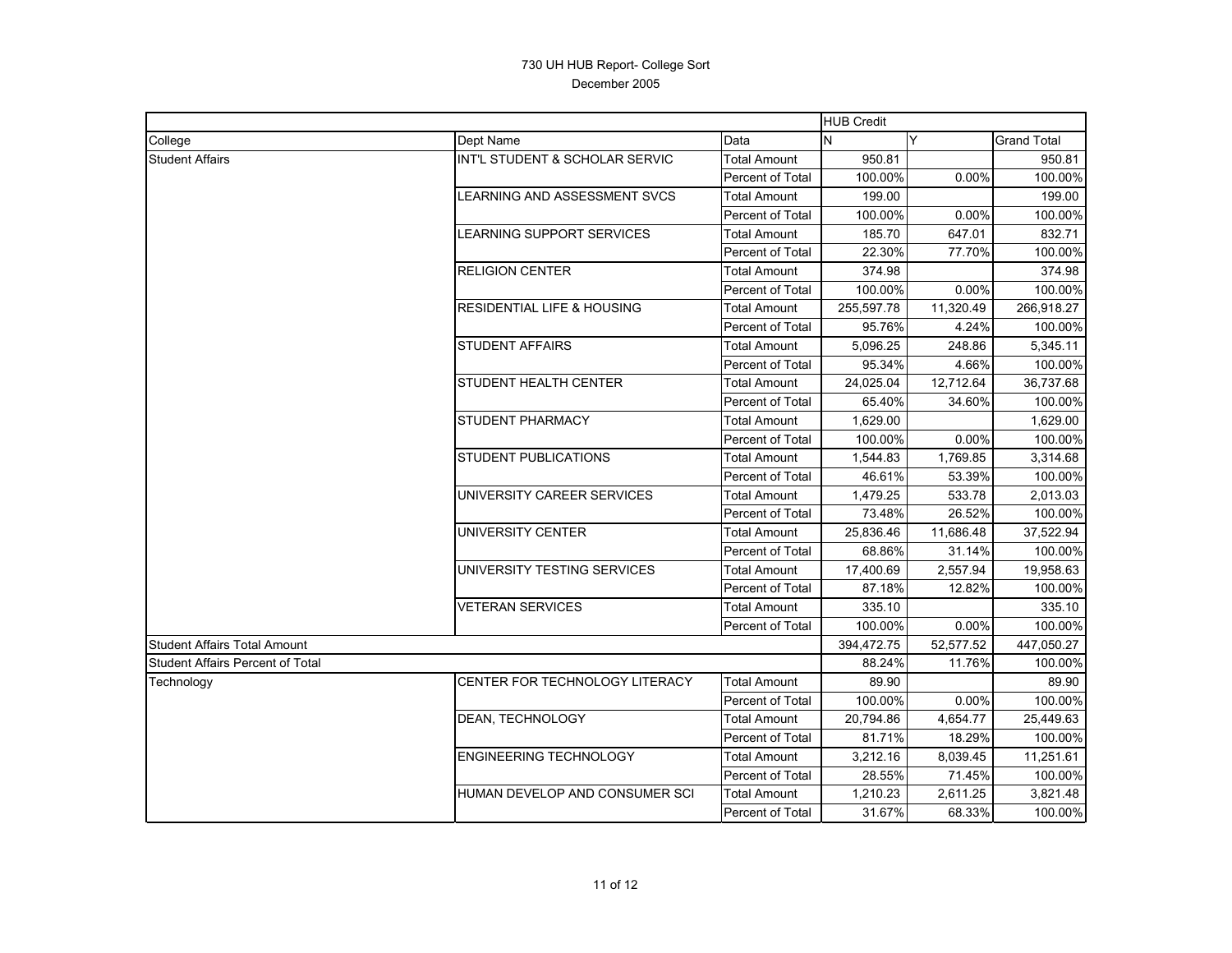|                                         |                                       |                         | <b>HUB Credit</b> |           |                    |
|-----------------------------------------|---------------------------------------|-------------------------|-------------------|-----------|--------------------|
| College                                 | Dept Name                             | Data                    | N                 | Y         | <b>Grand Total</b> |
| <b>Student Affairs</b>                  | INT'L STUDENT & SCHOLAR SERVIC        | <b>Total Amount</b>     | 950.81            |           | 950.81             |
|                                         |                                       | Percent of Total        | 100.00%           | 0.00%     | 100.00%            |
|                                         | LEARNING AND ASSESSMENT SVCS          | Total Amount            | 199.00            |           | 199.00             |
|                                         |                                       | Percent of Total        | 100.00%           | 0.00%     | 100.00%            |
|                                         | LEARNING SUPPORT SERVICES             | <b>Total Amount</b>     | 185.70            | 647.01    | 832.71             |
|                                         |                                       | Percent of Total        | 22.30%            | 77.70%    | 100.00%            |
|                                         | <b>RELIGION CENTER</b>                | <b>Total Amount</b>     | 374.98            |           | 374.98             |
|                                         |                                       | Percent of Total        | 100.00%           | 0.00%     | 100.00%            |
|                                         | <b>RESIDENTIAL LIFE &amp; HOUSING</b> | <b>Total Amount</b>     | 255,597.78        | 11,320.49 | 266,918.27         |
|                                         |                                       | Percent of Total        | 95.76%            | 4.24%     | 100.00%            |
|                                         | <b>STUDENT AFFAIRS</b>                | Total Amount            | 5,096.25          | 248.86    | 5,345.11           |
|                                         |                                       | Percent of Total        | 95.34%            | 4.66%     | 100.00%            |
|                                         | STUDENT HEALTH CENTER                 | Total Amount            | 24,025.04         | 12,712.64 | 36,737.68          |
|                                         |                                       | <b>Percent of Total</b> | 65.40%            | 34.60%    | 100.00%            |
|                                         | <b>STUDENT PHARMACY</b>               | Total Amount            | 1,629.00          |           | 1,629.00           |
|                                         |                                       | Percent of Total        | 100.00%           | 0.00%     | 100.00%            |
|                                         | <b>STUDENT PUBLICATIONS</b>           | <b>Total Amount</b>     | 1.544.83          | 1.769.85  | 3.314.68           |
|                                         |                                       | Percent of Total        | 46.61%            | 53.39%    | 100.00%            |
|                                         | UNIVERSITY CAREER SERVICES            | <b>Total Amount</b>     | 1,479.25          | 533.78    | 2,013.03           |
|                                         |                                       | Percent of Total        | 73.48%            | 26.52%    | 100.00%            |
|                                         | UNIVERSITY CENTER                     | Total Amount            | 25,836.46         | 11,686.48 | 37,522.94          |
|                                         |                                       | Percent of Total        | 68.86%            | 31.14%    | 100.00%            |
|                                         | UNIVERSITY TESTING SERVICES           | Total Amount            | 17,400.69         | 2,557.94  | 19,958.63          |
|                                         |                                       | Percent of Total        | 87.18%            | 12.82%    | 100.00%            |
|                                         | <b>VETERAN SERVICES</b>               | <b>Total Amount</b>     | 335.10            |           | 335.10             |
|                                         |                                       | Percent of Total        | 100.00%           | 0.00%     | 100.00%            |
| <b>Student Affairs Total Amount</b>     |                                       |                         | 394,472.75        | 52,577.52 | 447,050.27         |
| <b>Student Affairs Percent of Total</b> |                                       |                         | 88.24%            | 11.76%    | 100.00%            |
| Technology                              | CENTER FOR TECHNOLOGY LITERACY        | <b>Total Amount</b>     | 89.90             |           | 89.90              |
|                                         |                                       | Percent of Total        | 100.00%           | 0.00%     | 100.00%            |
|                                         | DEAN, TECHNOLOGY                      | <b>Total Amount</b>     | 20,794.86         | 4,654.77  | 25,449.63          |
|                                         |                                       | Percent of Total        | 81.71%            | 18.29%    | 100.00%            |
|                                         | <b>ENGINEERING TECHNOLOGY</b>         | Total Amount            | 3,212.16          | 8,039.45  | 11,251.61          |
|                                         |                                       | Percent of Total        | 28.55%            | 71.45%    | 100.00%            |
|                                         | HUMAN DEVELOP AND CONSUMER SCI        | <b>Total Amount</b>     | 1,210.23          | 2,611.25  | 3,821.48           |
|                                         |                                       | Percent of Total        | 31.67%            | 68.33%    | 100.00%            |